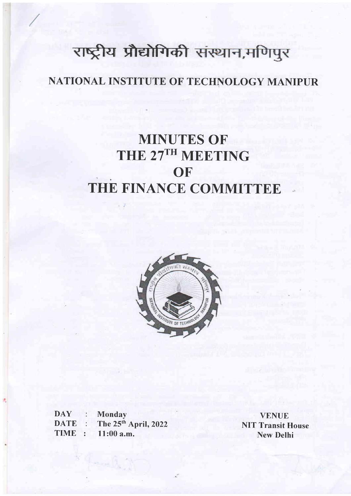# राष्ट्रीय प्रौद्योगिकी संस्थान,मणिपुर

# NATIONAL INSTITUTE OF TECHNOLOGY MANIPUR

# MINUTES OF THE 27TH MEETING **OF** THE FINANCE COMMITTEE



DAY : **DATE TIME** Monday The 25<sup>th</sup> April, 2022 1l:00 a.m.

VENUE NIT Transit House New Delhi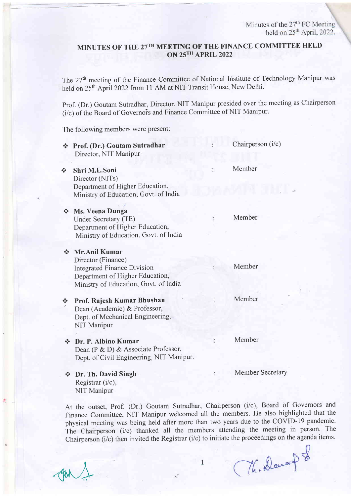# MINUTES OF THE 27TH MEETING OF THE FINANCE COMMITTEE HELD ON 25TH APRIL 2022

The 27<sup>th</sup> meeting of the Finance Committee of National Institute of Technology Manipur was held on 25<sup>th</sup> April 2022 from 11 AM at NIT Transit House, New Delhi.

Prof. (Dr.) Goutam Sutradhar, Director, NIT Manipur presided over the meeting as Chairperson (i/c) of the Board of Governors and Finance Committee of NIT Manipur.

The following members were present:

| $\mathcal{L}_{\mathbf{a}}$             | Prof. (Dr.) Goutam Sutradhar<br>Director, NIT Manipur                                                                                                   | Chairperson (i/c)       |
|----------------------------------------|---------------------------------------------------------------------------------------------------------------------------------------------------------|-------------------------|
| ÷                                      | Shri M.L.Soni<br>Director (NITs)                                                                                                                        | Member                  |
|                                        | Department of Higher Education,<br>Ministry of Education, Govt. of India                                                                                |                         |
|                                        | <b>Stean Stean Dunga</b><br>Under Secretary (TE)<br>Department of Higher Education,<br>Ministry of Education, Govt. of India                            | Member                  |
|                                        | ❖ Mr.Anil Kumar<br>Director (Finance)<br><b>Integrated Finance Division</b><br>Department of Higher Education,<br>Ministry of Education, Govt. of India | Member                  |
| $\frac{1}{2}$                          | Prof. Rajesh Kumar Bhushan<br>Dean (Academic) & Professor,<br>Dept. of Mechanical Engineering,<br>NIT Manipur                                           | Member                  |
| $\mathbf{e}^{\mathbf{e}}_{\mathbf{a}}$ | Dr. P. Albino Kumar<br>Dean (P & D) & Associate Professor,<br>Dept. of Civil Engineering, NIT Manipur.                                                  | Member                  |
| ❖                                      | Dr. Th. David Singh                                                                                                                                     | <b>Member Secretary</b> |

Registrar (i/c), NIT Manipur

At the outset, Prof. (Dr.) Goutant Sutradhar, Chairperson (i/c), Board of Governors and Finance Committee, NIT Manipur welcomed all the members. He also highlighted that the physical meeting was being held after more than two years due to the COVID-I9 pandemic. The Chairperson (i/c) thanked all the members attending the meeting in person. The Chairperson ( $i/c$ ) then invited the Registrar ( $i/c$ ) to initiate the proceedings on the agenda items.

 $AN<sub>+</sub>$ 

(The Docump of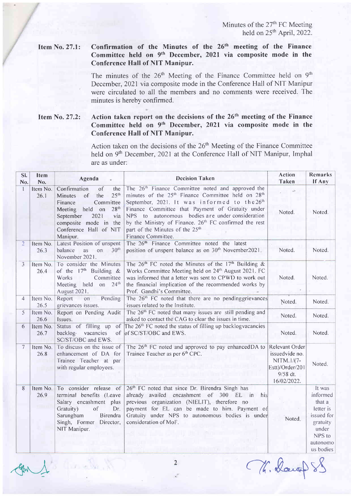## Item No.27.1: Confirmation of the Minutes of the 26'h meeting of the Finance Committee held on 9th December, 2021 via composite mode in the Conference Hall of NIT Manipur.

The minutes of the  $26<sup>th</sup>$  Meeting of the Finance Committee held on  $9<sup>th</sup>$ December, 2021 via composite mode in the Conference Hall of NIT Manipur were circulated to all the members and no comments were received. The minutes is hereby confirmed.

Item No. 27.2: Action taken report on the decisions of the 26<sup>th</sup> meeting of the Finance Committee held on 9<sup>th</sup> December, 2021 via composite mode in the Conference Hall of NIT Manipur.

> Action taken on the decisions of the  $26<sup>th</sup>$  Meeting of the Finance Committee held on 9<sup>th</sup> December, 2021 at the Conference Hall of NIT Manipur, Imphal are as under:

| SI.<br>No.     | <b>Item</b><br>No. | Agenda                                                                                                                                                                                                                          | <b>Decision Taken</b>                                                                                                                                                                                                                                                                                                                                                                                                                                      | <b>Action</b><br><b>Taken</b>                                                                | <b>Remarks</b><br>If Any                                                                                        |
|----------------|--------------------|---------------------------------------------------------------------------------------------------------------------------------------------------------------------------------------------------------------------------------|------------------------------------------------------------------------------------------------------------------------------------------------------------------------------------------------------------------------------------------------------------------------------------------------------------------------------------------------------------------------------------------------------------------------------------------------------------|----------------------------------------------------------------------------------------------|-----------------------------------------------------------------------------------------------------------------|
| $\mathbf{1}$   | Item No.<br>26.1   | of<br>Confirmation<br>the<br>25 <sup>th</sup><br>of<br>the<br>Minutes<br>Committee<br>Finance<br>28 <sup>th</sup><br>Meeting held on<br>September<br>2021<br>via<br>composite mode in the<br>Conference Hall of NIT<br>Manipur. | The 26 <sup>th</sup> Finance Committee noted and approved the<br>minutes of the 25 <sup>th</sup> Finance Committee held on 28 <sup>th</sup><br>September, 2021. It was informed to the 26 <sup>th</sup><br>Finance Committee that Payment of Gratuity under<br>NPS to autonomous bodies are under consideration<br>by the Ministry of Finance. 26 <sup>th</sup> FC confirmed the rest<br>part of the Minutes of the 25 <sup>th</sup><br>Finance Committee. | Noted.                                                                                       | Noted.                                                                                                          |
| $\overline{2}$ | Item No.<br>26.3   | Latest Position of unspent<br>30 <sup>th</sup><br>balance<br>as on<br>November 2021.                                                                                                                                            | The 26 <sup>th</sup> Finance Committee noted the latest<br>position of unspent balance as on 30 <sup>th</sup> November2021.                                                                                                                                                                                                                                                                                                                                | Noted.                                                                                       | Noted.                                                                                                          |
| $\overline{3}$ | Item No.<br>26.4   | To consider the Minutes<br>of the $17th$ Building &<br>Works<br>Committee<br>Meeting held on<br>24 <sup>th</sup><br>August 2021.                                                                                                | The $26th$ FC noted the Minutes of the $17th$ Building &<br>Works Committee Meeting held on 24 <sup>th</sup> August 2021. FC<br>was informed that a letter was sent to CPWD to work out<br>the financial implication of the recommended works by<br>Prof. Gandhi's Committee.                                                                                                                                                                              | Noted.                                                                                       | Noted.                                                                                                          |
| $\overline{4}$ | Item No.<br>26.5   | Pending<br>Report<br>on<br>grievances issues.                                                                                                                                                                                   | The 26 <sup>th</sup> FC noted that there are no pendinggrievances<br>issues related to the Institute.                                                                                                                                                                                                                                                                                                                                                      | Noted.                                                                                       | Noted.                                                                                                          |
| 5              | Item No.<br>26.6   | Report on Pending Audit<br>Issues.                                                                                                                                                                                              | The 26 <sup>th</sup> FC noted that many issues are still pending and<br>asked to contact the CAG to clear the issues in time.                                                                                                                                                                                                                                                                                                                              | Noted.                                                                                       | Noted.                                                                                                          |
| 6              | Item No.<br>26.7   | Status of filling up<br>of<br>backlog vacancies<br>of<br>SC/ST/OBC and EWS.                                                                                                                                                     | The $26th$ FC noted the status of filling up backlog vacancies<br>of SC/ST/OBC and EWS.                                                                                                                                                                                                                                                                                                                                                                    | Noted.                                                                                       | Noted.                                                                                                          |
| 7              | Item No.<br>26.8   | To discuss on the issue of<br>enhancement of DA for<br>Trainee Teacher at par<br>with regular employees.                                                                                                                        | The 26 <sup>th</sup> FC noted and approved to pay enhanced DA to<br>Trainee Teacher as per 6 <sup>th</sup> CPC.                                                                                                                                                                                                                                                                                                                                            | Relevant Order<br>issuedvide no.<br>NITM.1/(7-<br>Estt)/Order/201<br>9/58 dt.<br>16/02/2022. | Noted.                                                                                                          |
| 8              | 26.9               | Item No. To consider release of<br>terminal benefits (Leave<br>Salary encashment plus<br>Gratuity)<br>of<br>Dr.<br>Sarungbam<br>Birendra<br>Singh, Former Director,<br>NIT Manipur.                                             | 26th FC noted that since Dr. Birendra Singh has<br>already availed encashment of 300 EL in<br>his<br>previous organization (NIELIT), therefore no<br>payment for EL can be made to him. Payment of<br>Gratuity under NPS to autonomous bodies is under<br>consideration of MoF.                                                                                                                                                                            | Noted.                                                                                       | It was<br>informed<br>that a<br>letter is<br>issued for<br>gratuity<br>under<br>NPS to<br>autonomo<br>us bodies |

 $AN<sub>+</sub>$ 

Mr. Daugh S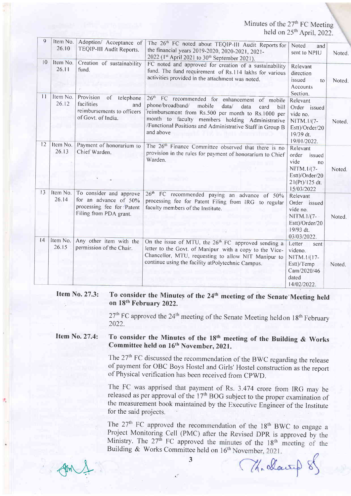| 9                     |                               |                                                                                                         |                                                                                                                                                                                                                                                                                                             |                                                                                                           |        |
|-----------------------|-------------------------------|---------------------------------------------------------------------------------------------------------|-------------------------------------------------------------------------------------------------------------------------------------------------------------------------------------------------------------------------------------------------------------------------------------------------------------|-----------------------------------------------------------------------------------------------------------|--------|
|                       | Item No.<br>26.10             | Adoption/ Acceptance of<br>TEQIP-III Audit Reports.                                                     | The 26 <sup>th</sup> FC noted about TEQIP-III Audit Reports for<br>the financial years 2019-2020, 2020-2021, 2021-<br>2022 (1st April 2021 to 30 <sup>th</sup> September 2021).                                                                                                                             | Noted<br>and<br>sent to NPIU                                                                              | Noted. |
| $\overline{10}$<br>11 | Item No.<br>26.11<br>Item No. | Creation of sustainability<br>fund.                                                                     | FC noted and approved for creation of a sustainability<br>fund. The fund requirement of Rs.114 lakhs for various<br>activities provided in the attachment was noted.                                                                                                                                        | Relevant<br>direction<br>issued<br>to<br>Accounts<br>Section.                                             | Noted. |
|                       | 26.12                         | Provision<br>of telephone<br>facilities<br>and<br>reimbursements to officers<br>of Govt. of India.      | 26 <sup>th</sup> FC recommended for enhancement of mobile<br>phone/broadband/<br>mobile<br>data/<br>data<br>card<br>bill<br>reimbursement from Rs.500 per month to Rs.1000 per<br>month to faculty members holding Administrative<br>/Functional Positions and Administrative Staff in Group B<br>and above | Relevant<br>Order issued<br>vide no.<br>NITM.1/(7-<br>Estt)/Order/20<br>19/39 dt.<br>19/01/2022.          | Noted. |
| 12                    | Item No.<br>26.13             | Payment of honorarium to<br>Chief Warden.                                                               | The 26 <sup>th</sup> Finance Committee observed that there is no<br>provision in the rules for payment of honorarium to Chief<br>Warden.                                                                                                                                                                    | Relevant<br>order<br>issued<br>vide<br>no<br>NITM.1/(7-<br>Estt)/Order/20<br>21(Pt)/125 dt.<br>15/03/2022 | Noted. |
| 13                    | Item No.<br>26.14             | To consider and approve<br>for an advance of 50%<br>processing fee for Patent<br>Filing from PDA grant. | 26 <sup>th</sup> FC recommended paying an advance of 50%<br>processing fee for Patent Filing from IRG to regular<br>faculty members of the Institute.                                                                                                                                                       | Relevant<br>Order issued<br>vide no.<br>NITM.1/(7-<br>Estt)/Order/20<br>19/93 dt.<br>03/03/2022.          | Noted. |
| 14                    | Item No.<br>26.15             | Any other item with the<br>permission of the Chair.                                                     | On the issue of MTU, the 26 <sup>th</sup> FC approved sending a<br>letter to the Govt. of Manipur with a copy to the Vice-<br>Chancellor, MTU, requesting to allow NIT Manipur to<br>continue using the facility at Polytechnic Campus.                                                                     | Letter<br>sent<br>videno.<br>NITM.1/(17-<br>Estt)/Temp<br>Cam/2020/46<br>dated<br>14/02/2022.             | Noted. |

### Item No.27.3: To consider the Minutes of the 24<sup>th</sup> meeting of the Senate Meeting held on 18<sup>th</sup> February 2022.

 $27<sup>th</sup>$  FC approved the  $24<sup>th</sup>$  meeting of the Senate Meeting heldon 18<sup>th</sup> February 2022.

### Item No.27.4: To consider the Minutes of the  $18<sup>th</sup>$  meeting of the Building & Works Committee held on 16<sup>th</sup> November, 2021.

The  $27<sup>th</sup> FC discussed the recommendation of the BWC regarding the release$ of payment for OBC Boys Hostel and Girls' Hostel construction as the report of Physical verification has been received from CpWD.

The FC was apprised that payment of Rs. 3.474 crore fiom IRG may be released as per approval of the 17<sup>th</sup> BOG subject to the proper examination of the measurement book maintained by the Executive Engineer of the Institute for the said projects.

The  $27<sup>th</sup>$  FC approved the recommendation of the  $18<sup>th</sup>$  BWC to engage a Project Monitoring Cell (PMC) after the Revised DPR is approved by the Ministry. The  $27<sup>th</sup>$  FC approved the minutes of the  $18<sup>th</sup>$  meeting of the Building & Works Committee held on  $16<sup>th</sup>$  November, 2021.

 $Am \triangle$ 

Mr alang 8

3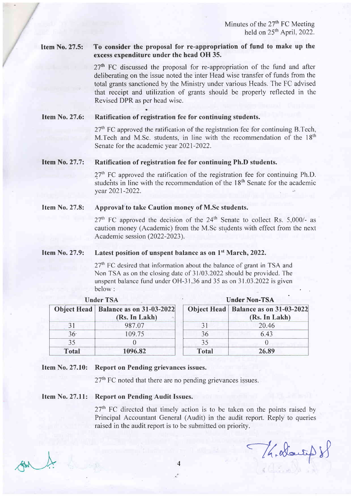#### Item No.27.5: To consider the proposal for re-appropriation of fund to make up the excess expenditure under the head OH 35.

 $27<sup>th</sup>$  FC discussed the proposal for re-appropriation of the fund and after deliberating on the issue noted the inter Head wise transfer of funds from the total grants sanctioned by the Ministry under various Heads. The FC advised that receipt and utilization of grants should be properly reflected in the Revised DPR as per head wise.

#### Item No.27.6: Ratification of registration fee for continuing students.

a

 $27<sup>th</sup>$  FC approved the ratification of the registration fee for continuing B.Tech, M.Tech and M.Sc. students, in line with the recommendation of the  $18<sup>th</sup>$ Senate for the academic year 2021-2022.

#### Item No.27.7: Ratification of registration fee for continuing Ph.D students.

 $27<sup>th</sup>$  FC approved the ratification of the registration fee for continuing Ph.D. students in line with the recommendation of the 18<sup>th</sup> Senate for the academic year 2021-2022.

#### Approval to take Caution money of M.Sc students. Item No.27.8:

 $27<sup>th</sup>$  FC approved the decision of the  $24<sup>th</sup>$  Senate to collect Rs. 5,000/- as caution money (Academic) from the M.Sc students with effect from the next Academic session (2022-2023).

#### Latest position of unspent balance as on 1<sup>st</sup> March, 2022. Item No.27.9:

 $27<sup>th</sup>$  FC desired that information about the balance of grant in TSA and Non TSA as on the closing date of 31/03.2022 should be provided. The unspent balance fund under OH-3 | ,36 and 35 as on 3l .03.2022 is given below:

|                 | <b>Under TSA</b>                                        | <b>Under Non-TSA</b> |                                                         |  |
|-----------------|---------------------------------------------------------|----------------------|---------------------------------------------------------|--|
|                 | Object Head   Balance as on 31-03-2022<br>(Rs. In Lakh) |                      | Object Head   Balance as on 31-03-2022<br>(Rs. In Lakh) |  |
| 31              | 987.07                                                  | 31                   | 20.46                                                   |  |
| 36 <sup>°</sup> | 109.75                                                  | 36                   | 6.43                                                    |  |
| 35              |                                                         | 35                   |                                                         |  |
| <b>Total</b>    | 1096.82                                                 | <b>Total</b>         | 26.89                                                   |  |

## Item No. 27.10: Report on Pending grievances issues.

 $27<sup>th</sup>$  FC noted that there are no pending grievances issues.

## Item No. 27.11: Report on Pending Audit Issues.

 $27<sup>th</sup>$  FC directed that timely action is to be taken on the points raised by Principal Accountant General (Audit) in the audit report. Reply'to queries raised in the audit report is to be submitted on priority.

-/(,r&-+/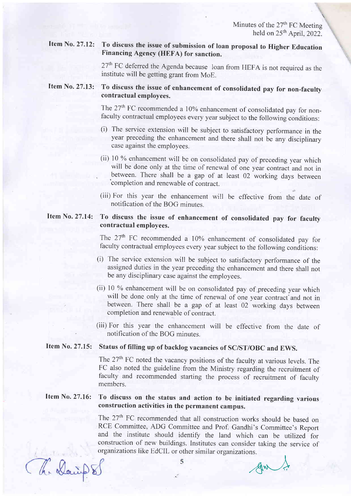\

### Item No. 27.12: To discuss the issue of submission of loan proposal to Higher Education Financing Agency (HEFA) for sanction.

27<sup>th</sup> FC deferred the Agenda because loan from HEFA is not required as the institute will be getting grant from MoE.

#### To discuss the issue of enhancement of consolidated pay for non-faculty contractual employees. Item No. 27.13:

The 27<sup>th</sup> FC recommended a 10% enhancement of consolidated pay for non-faculty contractual employees every year subject to the following conditions:

- (i) The service extension will be subject to satisfactory performance in the year preceding the enhancement and there shall not be any disciplinary case against the employees.
- (ii) 10 % enhancement will be on consolidated pay of preceding year which will be done only at the time of renewal of one year contract and not in between. There shall be a gap of at least 02 working days between 'completion and renewable of contract.
- (iii) For this year the enhancement will be effective from the date of notification of the BOG minutes.

## Item No. 27.14: To discuss the issue of enhancement of consolidated pay for faculty contractual employees.

The  $27<sup>th</sup>$  FC recommended a 10% enhancement of consolidated pay for faculty contractual employees every year subject to the following conditions:

- (i) The service extension will be subject to satisfactory performance of the assigned duties in the year preceding the enhancement and there shall not be any disciplinary case against the employees.
- (ii)  $10\%$  enhancement will be on consolidated pay of preceding year which will be done only at the time of renewal of one year contract and not in between. There shall be a gap of at least 02 working days between completion and renewable of contract.
- (iii) For this year the enhancement will be effective from the date of notification of the BOG minutes.

# Item No. 27.15: Status of filling up of backlog vacancies of SC/ST/OBC and EWS.

The 27<sup>th</sup> FC noted the vacancy positions of the faculty at various levels. The FC also noted the guideline from the Ministry regarding the recruitment of faculty and recommended starting the process of recruitment of faculty members.

## Item No. 27.16: To discuss on the status and action to be initiated regarding various construction activities in the permanent campus.

The 27<sup>th</sup> FC recommended that all construction works should be based on RCE Committee, ADG Committee and Prof. Gandhi's Committee's Report and the institute should identify the land which can be utilized for construction of new buildings. Institutes can consider taking the service of organizations like EdCIL or other similar organizations.

he Dairs

AW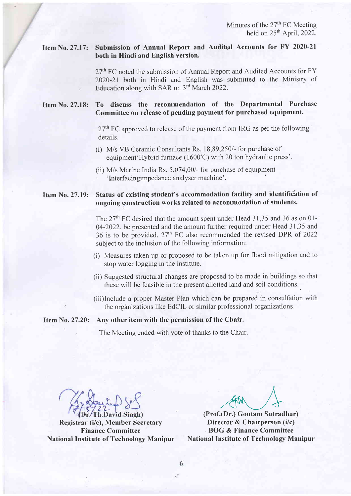#### Item No. 27.17: Submission of Annual Report and Audited Accounts for FY 2020-21 both in Hindi and English version.

27<sup>th</sup> FC noted the submission of Annual Report and Audited Accounts for FY 2020-21 both in Hindi and English was submitted to the Ministry of Education along with SAR on 3<sup>rd</sup> March 2022.

#### Item No. 27.18: To discuss the recommendation of the Departmental Purchase Committee on release of pending payment for purchased equipment.

 $27<sup>th</sup>$  FC approved to release of the payment from IRG as per the following details.

- (i) M/s VB Ceramic Consultants Rs. 18,89,250/- for purchase of equipment'Hybrid furnace (1600'C) with 20 ton hydraulic press'.
- (ii)  $M/s$  Marine India Rs. 5,074,00/ $-$  for purchase of equipment 'Interfacingimpedance analyser machine'.

#### Item No. 27.19: Status of existing student's accommodation facility and identification of ongoing construction works related to accommodation of students.

The  $27<sup>th</sup>$  FC desired that the amount spent under Head 31,35 and 36 as on 01-04-2022, be presented and the amount further required under Head 31,35 and 36 is to be provided.  $27<sup>th</sup>$  FC also recommended the revised DPR of 2022 subject to the inclusion of the following information:

- (i) Measures taken up or proposed to be taken up for flood mitigation and to stop water logging in the institute.
- (ii) Suggested structural changes are proposed to be made in buildings so that these will be feasible in the present allotted land and soil conditions..
- (iii)Include a proper Master Plan which can be prepared in consultation with the organizations like EdCIL or similar professional organizations.

# Item No. 27.20: Any other item with the permission of the Chair.

The Meeting ended with vote of thanks to the Chair.

h.David Singh)

Registrar (i/c), Member Secretary Finance Committee National Institute of Technology Manipur

A A,t\/) (Prof.(Dr.) Goutam Sutradhar)

Director & Chairperson (i/c) BOG & Finance Committee National Institute of Technology Manipur

6